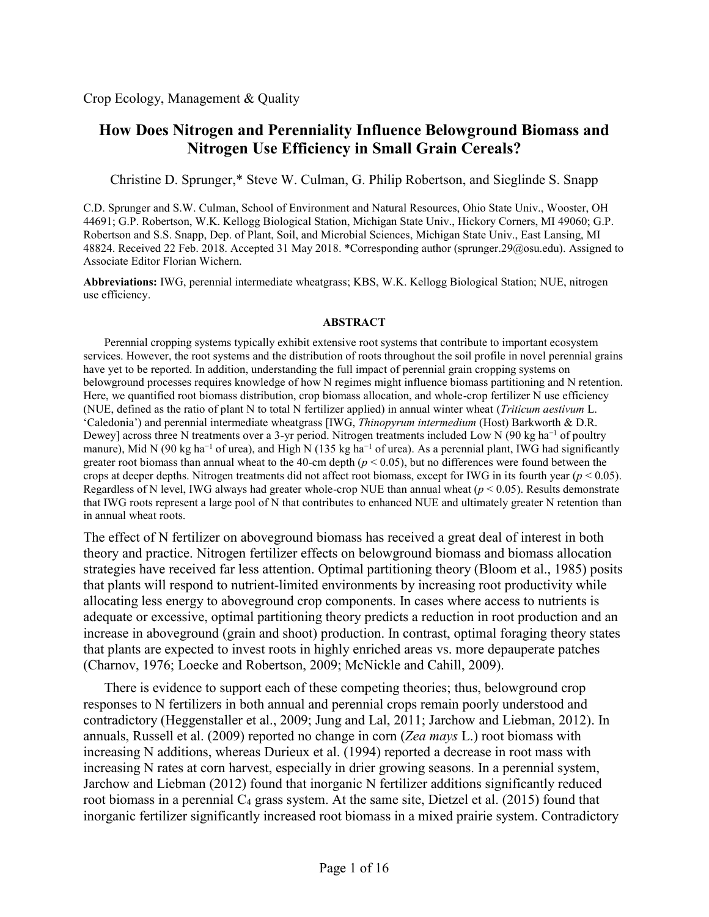# **How Does Nitrogen and Perenniality Influence Belowground Biomass and Nitrogen Use Efficiency in Small Grain Cereals?**

Christine D. Sprunger,\* Steve W. Culman, G. Philip Robertson, and Sieglinde S. Snapp

C.D. Sprunger and S.W. Culman, School of Environment and Natural Resources, Ohio State Univ., Wooster, OH 44691; G.P. Robertson, W.K. Kellogg Biological Station, Michigan State Univ., Hickory Corners, MI 49060; G.P. Robertson and S.S. Snapp, Dep. of Plant, Soil, and Microbial Sciences, Michigan State Univ., East Lansing, MI 48824. Received 22 Feb. 2018. Accepted 31 May 2018. \*Corresponding author (sprunger.29@osu.edu). Assigned to Associate Editor Florian Wichern.

**Abbreviations:** IWG, perennial intermediate wheatgrass; KBS, W.K. Kellogg Biological Station; NUE, nitrogen use efficiency.

#### **ABSTRACT**

Perennial cropping systems typically exhibit extensive root systems that contribute to important ecosystem services. However, the root systems and the distribution of roots throughout the soil profile in novel perennial grains have yet to be reported. In addition, understanding the full impact of perennial grain cropping systems on belowground processes requires knowledge of how N regimes might influence biomass partitioning and N retention. Here, we quantified root biomass distribution, crop biomass allocation, and whole-crop fertilizer N use efficiency (NUE, defined as the ratio of plant N to total N fertilizer applied) in annual winter wheat (*Triticum aestivum* L. 'Caledonia') and perennial intermediate wheatgrass [IWG, *Thinopyrum intermedium* (Host) Barkworth & D.R. Dewey] across three N treatments over a 3-yr period. Nitrogen treatments included Low N (90 kg ha<sup>−1</sup> of poultry manure), Mid N (90 kg ha<sup>-1</sup> of urea), and High N (135 kg ha<sup>-1</sup> of urea). As a perennial plant, IWG had significantly greater root biomass than annual wheat to the 40-cm depth (*p* < 0.05), but no differences were found between the crops at deeper depths. Nitrogen treatments did not affect root biomass, except for IWG in its fourth year ( $p < 0.05$ ). Regardless of N level, IWG always had greater whole-crop NUE than annual wheat (*p* < 0.05). Results demonstrate that IWG roots represent a large pool of N that contributes to enhanced NUE and ultimately greater N retention than in annual wheat roots.

The effect of N fertilizer on aboveground biomass has received a great deal of interest in both theory and practice. Nitrogen fertilizer effects on belowground biomass and biomass allocation strategies have received far less attention. Optimal partitioning theory (Bloom et al., 1985) posits that plants will respond to nutrient-limited environments by increasing root productivity while allocating less energy to aboveground crop components. In cases where access to nutrients is adequate or excessive, optimal partitioning theory predicts a reduction in root production and an increase in aboveground (grain and shoot) production. In contrast, optimal foraging theory states that plants are expected to invest roots in highly enriched areas vs. more depauperate patches (Charnov, 1976; Loecke and Robertson, 2009; McNickle and Cahill, 2009).

There is evidence to support each of these competing theories; thus, belowground crop responses to N fertilizers in both annual and perennial crops remain poorly understood and contradictory (Heggenstaller et al., 2009; Jung and Lal, 2011; Jarchow and Liebman, 2012). In annuals, Russell et al. (2009) reported no change in corn (*Zea mays* L.) root biomass with increasing N additions, whereas Durieux et al. (1994) reported a decrease in root mass with increasing N rates at corn harvest, especially in drier growing seasons. In a perennial system, Jarchow and Liebman (2012) found that inorganic N fertilizer additions significantly reduced root biomass in a perennial C<sub>4</sub> grass system. At the same site, Dietzel et al. (2015) found that inorganic fertilizer significantly increased root biomass in a mixed prairie system. Contradictory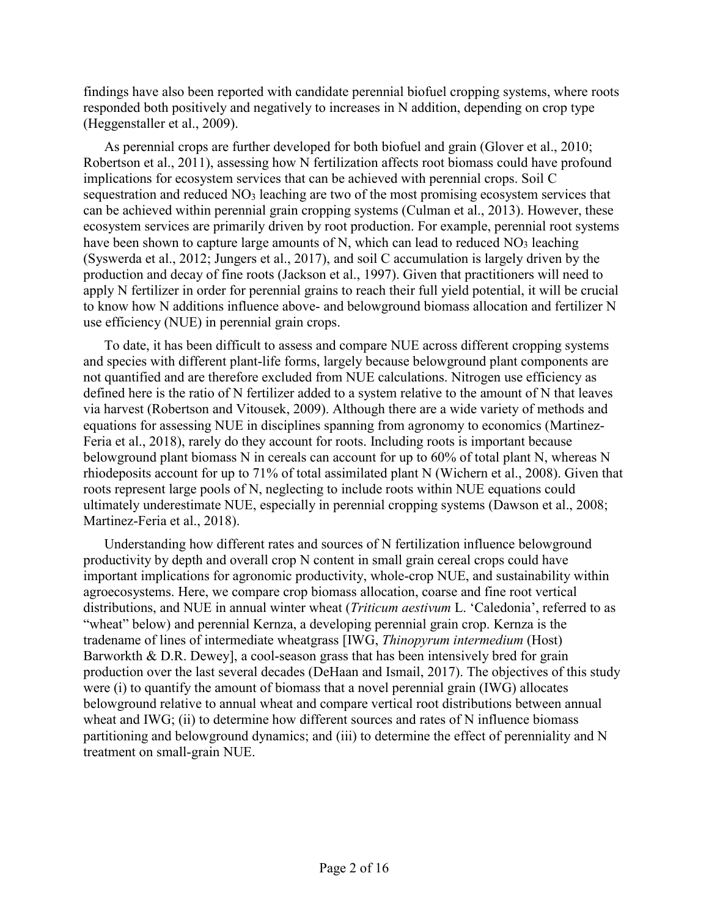findings have also been reported with candidate perennial biofuel cropping systems, where roots responded both positively and negatively to increases in N addition, depending on crop type (Heggenstaller et al., 2009).

As perennial crops are further developed for both biofuel and grain (Glover et al., 2010; Robertson et al., 2011), assessing how N fertilization affects root biomass could have profound implications for ecosystem services that can be achieved with perennial crops. Soil C sequestration and reduced NO<sub>3</sub> leaching are two of the most promising ecosystem services that can be achieved within perennial grain cropping systems (Culman et al., 2013). However, these ecosystem services are primarily driven by root production. For example, perennial root systems have been shown to capture large amounts of N, which can lead to reduced  $NO<sub>3</sub>$  leaching (Syswerda et al., 2012; Jungers et al., 2017), and soil C accumulation is largely driven by the production and decay of fine roots (Jackson et al., 1997). Given that practitioners will need to apply N fertilizer in order for perennial grains to reach their full yield potential, it will be crucial to know how N additions influence above- and belowground biomass allocation and fertilizer N use efficiency (NUE) in perennial grain crops.

To date, it has been difficult to assess and compare NUE across different cropping systems and species with different plant-life forms, largely because belowground plant components are not quantified and are therefore excluded from NUE calculations. Nitrogen use efficiency as defined here is the ratio of N fertilizer added to a system relative to the amount of N that leaves via harvest (Robertson and Vitousek, 2009). Although there are a wide variety of methods and equations for assessing NUE in disciplines spanning from agronomy to economics (Martinez-Feria et al., 2018), rarely do they account for roots. Including roots is important because belowground plant biomass N in cereals can account for up to 60% of total plant N, whereas N rhiodeposits account for up to 71% of total assimilated plant N (Wichern et al., 2008). Given that roots represent large pools of N, neglecting to include roots within NUE equations could ultimately underestimate NUE, especially in perennial cropping systems (Dawson et al., 2008; Martinez-Feria et al., 2018).

Understanding how different rates and sources of N fertilization influence belowground productivity by depth and overall crop N content in small grain cereal crops could have important implications for agronomic productivity, whole-crop NUE, and sustainability within agroecosystems. Here, we compare crop biomass allocation, coarse and fine root vertical distributions, and NUE in annual winter wheat (*Triticum aestivum* L. 'Caledonia', referred to as "wheat" below) and perennial Kernza, a developing perennial grain crop. Kernza is the tradename of lines of intermediate wheatgrass [IWG, *Thinopyrum intermedium* (Host) Barworkth & D.R. Dewey], a cool-season grass that has been intensively bred for grain production over the last several decades (DeHaan and Ismail, 2017). The objectives of this study were (i) to quantify the amount of biomass that a novel perennial grain (IWG) allocates belowground relative to annual wheat and compare vertical root distributions between annual wheat and IWG; (ii) to determine how different sources and rates of N influence biomass partitioning and belowground dynamics; and (iii) to determine the effect of perenniality and N treatment on small-grain NUE.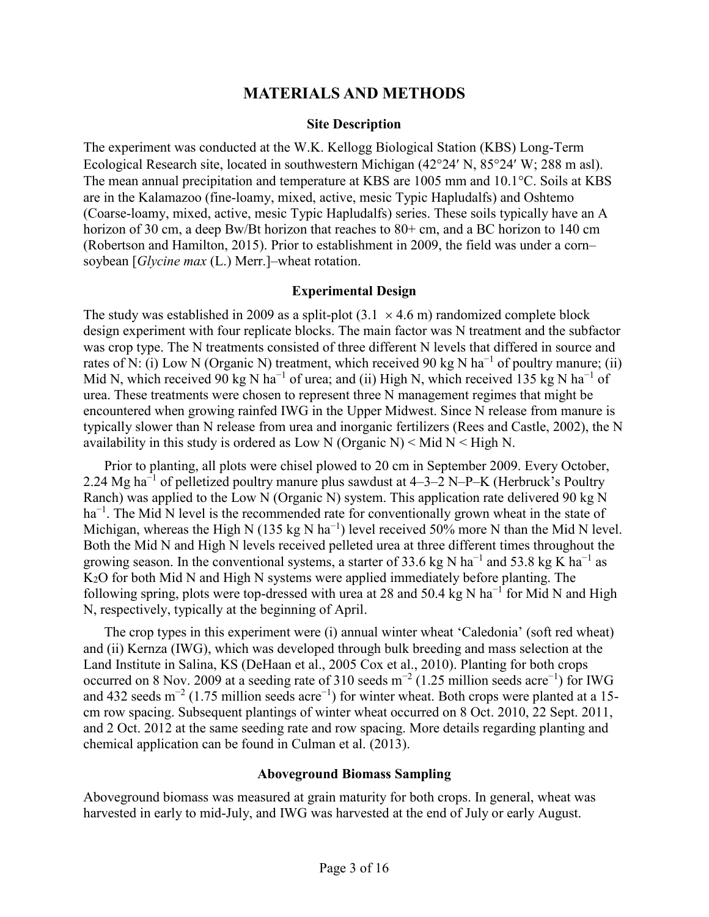# **MATERIALS AND METHODS**

### **Site Description**

The experiment was conducted at the W.K. Kellogg Biological Station (KBS) Long-Term Ecological Research site, located in southwestern Michigan  $(42^{\circ}24' \text{ N}, 85^{\circ}24' \text{ W}; 288 \text{ m as}$ ]). The mean annual precipitation and temperature at KBS are  $1005$  mm and  $10.1$ °C. Soils at KBS are in the Kalamazoo (fine-loamy, mixed, active, mesic Typic Hapludalfs) and Oshtemo (Coarse-loamy, mixed, active, mesic Typic Hapludalfs) series. These soils typically have an A horizon of 30 cm, a deep Bw/Bt horizon that reaches to 80+ cm, and a BC horizon to 140 cm (Robertson and Hamilton, 2015). Prior to establishment in 2009, the field was under a corn– soybean [*Glycine max* (L.) Merr.]–wheat rotation.

### **Experimental Design**

The study was established in 2009 as a split-plot  $(3.1 \times 4.6 \text{ m})$  randomized complete block design experiment with four replicate blocks. The main factor was N treatment and the subfactor was crop type. The N treatments consisted of three different N levels that differed in source and rates of N: (i) Low N (Organic N) treatment, which received 90 kg N ha<sup>-1</sup> of poultry manure; (ii) Mid N, which received 90 kg N ha<sup>-1</sup> of urea; and (ii) High N, which received 135 kg N ha<sup>-1</sup> of urea. These treatments were chosen to represent three N management regimes that might be encountered when growing rainfed IWG in the Upper Midwest. Since N release from manure is typically slower than N release from urea and inorganic fertilizers (Rees and Castle, 2002), the N availability in this study is ordered as Low N (Organic N)  $\leq$  Mid N  $\leq$  High N.

Prior to planting, all plots were chisel plowed to 20 cm in September 2009. Every October, 2.24 Mg ha<sup>-1</sup> of pelletized poultry manure plus sawdust at 4–3–2 N–P–K (Herbruck's Poultry Ranch) was applied to the Low N (Organic N) system. This application rate delivered 90 kg N ha<sup>-1</sup>. The Mid N level is the recommended rate for conventionally grown wheat in the state of Michigan, whereas the High N (135 kg N ha<sup>-1</sup>) level received 50% more N than the Mid N level. Both the Mid N and High N levels received pelleted urea at three different times throughout the growing season. In the conventional systems, a starter of 33.6 kg N ha<sup>-1</sup> and 53.8 kg K ha<sup>-1</sup> as K2O for both Mid N and High N systems were applied immediately before planting. The following spring, plots were top-dressed with urea at 28 and 50.4 kg N ha<sup>-1</sup> for Mid N and High N, respectively, typically at the beginning of April.

The crop types in this experiment were (i) annual winter wheat 'Caledonia' (soft red wheat) and (ii) Kernza (IWG), which was developed through bulk breeding and mass selection at the Land Institute in Salina, KS (DeHaan et al., 2005 Cox et al., 2010). Planting for both crops occurred on 8 Nov. 2009 at a seeding rate of 310 seeds  $m^{-2}$  (1.25 million seeds acre<sup>-1</sup>) for IWG and 432 seeds m<sup>-2</sup> (1.75 million seeds acre<sup>-1</sup>) for winter wheat. Both crops were planted at a 15cm row spacing. Subsequent plantings of winter wheat occurred on 8 Oct. 2010, 22 Sept. 2011, and 2 Oct. 2012 at the same seeding rate and row spacing. More details regarding planting and chemical application can be found in Culman et al. (2013).

### **Aboveground Biomass Sampling**

Aboveground biomass was measured at grain maturity for both crops. In general, wheat was harvested in early to mid-July, and IWG was harvested at the end of July or early August.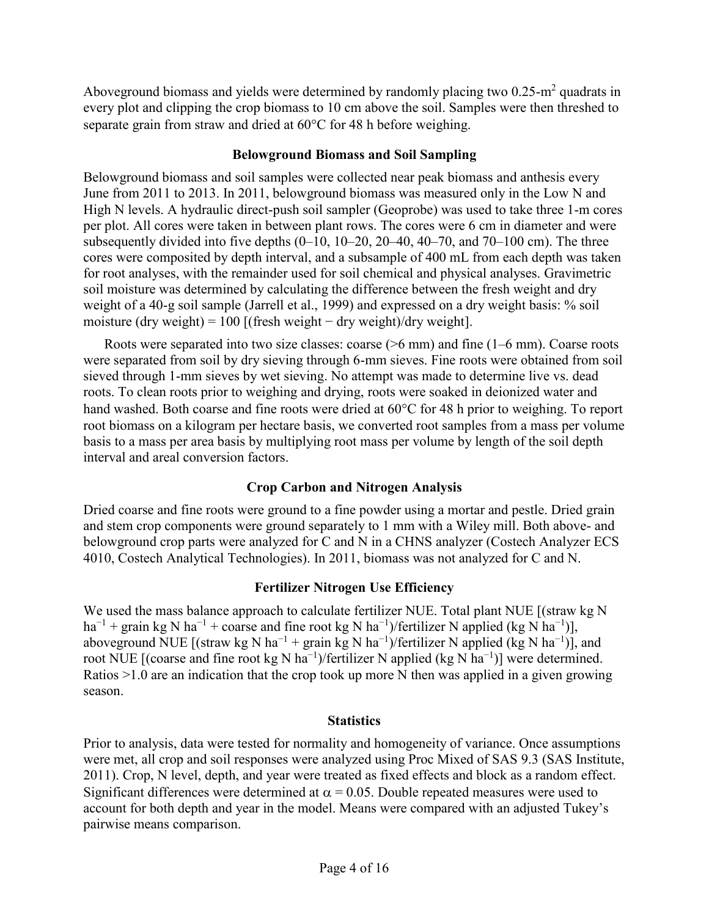Aboveground biomass and yields were determined by randomly placing two  $0.25$ -m<sup>2</sup> quadrats in every plot and clipping the crop biomass to 10 cm above the soil. Samples were then threshed to separate grain from straw and dried at  $60^{\circ}$ C for 48 h before weighing.

### **Belowground Biomass and Soil Sampling**

Belowground biomass and soil samples were collected near peak biomass and anthesis every June from 2011 to 2013. In 2011, belowground biomass was measured only in the Low N and High N levels. A hydraulic direct-push soil sampler (Geoprobe) was used to take three 1-m cores per plot. All cores were taken in between plant rows. The cores were 6 cm in diameter and were subsequently divided into five depths  $(0-10, 10-20, 20-40, 40-70,$  and  $70-100$  cm). The three cores were composited by depth interval, and a subsample of 400 mL from each depth was taken for root analyses, with the remainder used for soil chemical and physical analyses. Gravimetric soil moisture was determined by calculating the difference between the fresh weight and dry weight of a 40-g soil sample (Jarrell et al., 1999) and expressed on a dry weight basis: % soil moisture (dry weight) = 100 [(fresh weight – dry weight)/dry weight].

Roots were separated into two size classes: coarse (>6 mm) and fine (1–6 mm). Coarse roots were separated from soil by dry sieving through 6-mm sieves. Fine roots were obtained from soil sieved through 1-mm sieves by wet sieving. No attempt was made to determine live vs. dead roots. To clean roots prior to weighing and drying, roots were soaked in deionized water and hand washed. Both coarse and fine roots were dried at  $60^{\circ}$ C for 48 h prior to weighing. To report root biomass on a kilogram per hectare basis, we converted root samples from a mass per volume basis to a mass per area basis by multiplying root mass per volume by length of the soil depth interval and areal conversion factors.

# **Crop Carbon and Nitrogen Analysis**

Dried coarse and fine roots were ground to a fine powder using a mortar and pestle. Dried grain and stem crop components were ground separately to 1 mm with a Wiley mill. Both above- and belowground crop parts were analyzed for C and N in a CHNS analyzer (Costech Analyzer ECS 4010, Costech Analytical Technologies). In 2011, biomass was not analyzed for C and N.

# **Fertilizer Nitrogen Use Efficiency**

We used the mass balance approach to calculate fertilizer NUE. Total plant NUE [(straw kg N) ha<sup>-1</sup> + grain kg N ha<sup>-1</sup> + coarse and fine root kg N ha<sup>-1</sup>)/fertilizer N applied (kg N ha<sup>-1</sup>)], aboveground NUE [(straw kg N ha<sup>-1</sup> + grain kg N ha<sup>-1</sup>)/fertilizer N applied (kg N ha<sup>-1</sup>)], and root NUE [(coarse and fine root kg N ha<sup>-1</sup>)/fertilizer N applied (kg N ha<sup>-1</sup>)] were determined. Ratios >1.0 are an indication that the crop took up more N then was applied in a given growing season.

# **Statistics**

Prior to analysis, data were tested for normality and homogeneity of variance. Once assumptions were met, all crop and soil responses were analyzed using Proc Mixed of SAS 9.3 (SAS Institute, 2011). Crop, N level, depth, and year were treated as fixed effects and block as a random effect. Significant differences were determined at  $\alpha$  = 0.05. Double repeated measures were used to account for both depth and year in the model. Means were compared with an adjusted Tukey's pairwise means comparison.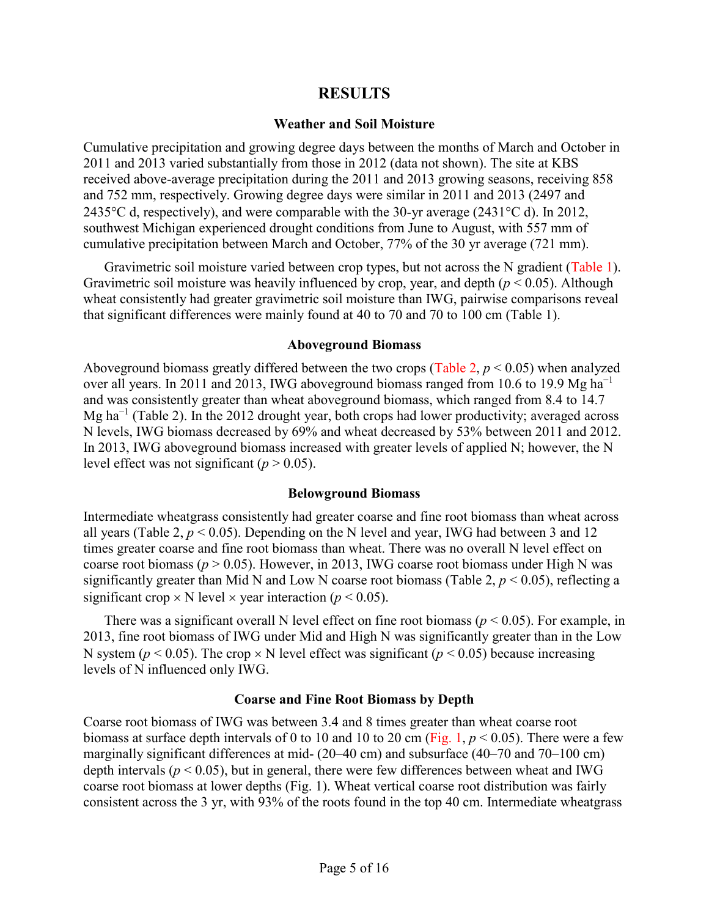# **RESULTS**

### **Weather and Soil Moisture**

Cumulative precipitation and growing degree days between the months of March and October in 2011 and 2013 varied substantially from those in 2012 (data not shown). The site at KBS received above-average precipitation during the 2011 and 2013 growing seasons, receiving 858 and 752 mm, respectively. Growing degree days were similar in 2011 and 2013 (2497 and 2435 °C d, respectively), and were comparable with the 30-yr average (2431 °C d). In 2012, southwest Michigan experienced drought conditions from June to August, with 557 mm of cumulative precipitation between March and October, 77% of the 30 yr average (721 mm).

Gravimetric soil moisture varied between crop types, but not across the N gradient (Table 1). Gravimetric soil moisture was heavily influenced by crop, year, and depth  $(p < 0.05)$ . Although wheat consistently had greater gravimetric soil moisture than IWG, pairwise comparisons reveal that significant differences were mainly found at 40 to 70 and 70 to 100 cm (Table 1).

#### **Aboveground Biomass**

Aboveground biomass greatly differed between the two crops (Table 2, *p* < 0.05) when analyzed over all years. In 2011 and 2013, IWG aboveground biomass ranged from 10.6 to 19.9 Mg ha<sup>-1</sup> and was consistently greater than wheat aboveground biomass, which ranged from 8.4 to 14.7 Mg ha<sup>-1</sup> (Table 2). In the 2012 drought year, both crops had lower productivity; averaged across N levels, IWG biomass decreased by 69% and wheat decreased by 53% between 2011 and 2012. In 2013, IWG aboveground biomass increased with greater levels of applied N; however, the N level effect was not significant  $(p > 0.05)$ .

#### **Belowground Biomass**

Intermediate wheatgrass consistently had greater coarse and fine root biomass than wheat across all years (Table 2,  $p < 0.05$ ). Depending on the N level and year, IWG had between 3 and 12 times greater coarse and fine root biomass than wheat. There was no overall N level effect on coarse root biomass ( $p > 0.05$ ). However, in 2013, IWG coarse root biomass under High N was significantly greater than Mid N and Low N coarse root biomass (Table 2,  $p < 0.05$ ), reflecting a significant crop  $\times$  N level  $\times$  year interaction ( $p$  < 0.05).

There was a significant overall N level effect on fine root biomass ( $p < 0.05$ ). For example, in 2013, fine root biomass of IWG under Mid and High N was significantly greater than in the Low N system ( $p < 0.05$ ). The crop  $\times$  N level effect was significant ( $p < 0.05$ ) because increasing levels of N influenced only IWG.

#### **Coarse and Fine Root Biomass by Depth**

Coarse root biomass of IWG was between 3.4 and 8 times greater than wheat coarse root biomass at surface depth intervals of 0 to 10 and 10 to 20 cm (Fig. 1,  $p < 0.05$ ). There were a few marginally significant differences at mid- (20–40 cm) and subsurface (40–70 and 70–100 cm) depth intervals ( $p < 0.05$ ), but in general, there were few differences between wheat and IWG coarse root biomass at lower depths (Fig. 1). Wheat vertical coarse root distribution was fairly consistent across the 3 yr, with 93% of the roots found in the top 40 cm. Intermediate wheatgrass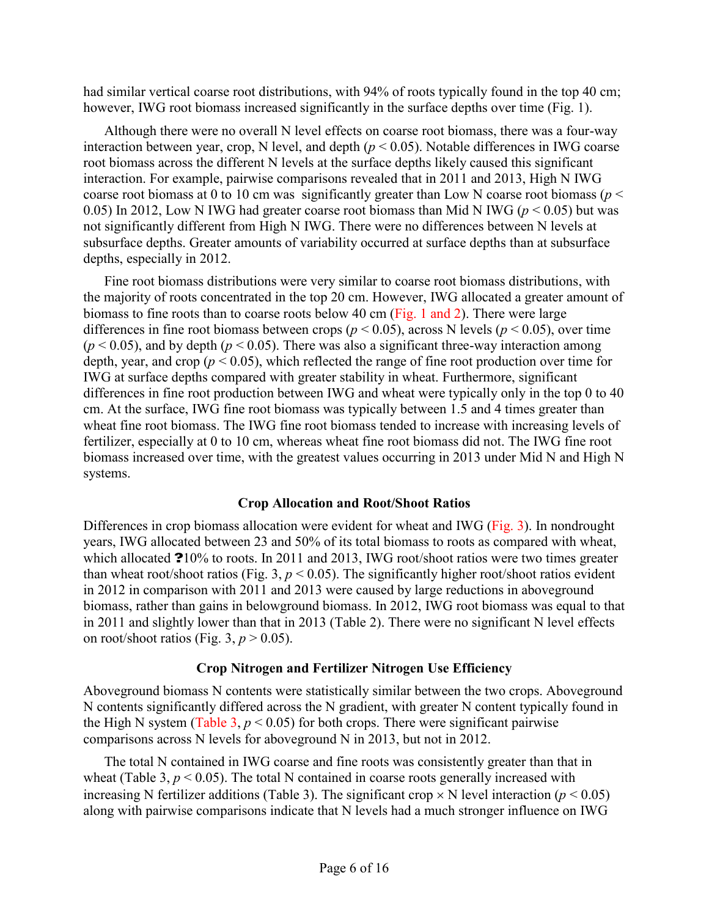had similar vertical coarse root distributions, with 94% of roots typically found in the top 40 cm; however, IWG root biomass increased significantly in the surface depths over time (Fig. 1).

Although there were no overall N level effects on coarse root biomass, there was a four-way interaction between year, crop, N level, and depth (*p* < 0.05). Notable differences in IWG coarse root biomass across the different N levels at the surface depths likely caused this significant interaction. For example, pairwise comparisons revealed that in 2011 and 2013, High N IWG coarse root biomass at 0 to 10 cm was significantly greater than Low N coarse root biomass ( $p <$ 0.05) In 2012, Low N IWG had greater coarse root biomass than Mid N IWG (*p* < 0.05) but was not significantly different from High N IWG. There were no differences between N levels at subsurface depths. Greater amounts of variability occurred at surface depths than at subsurface depths, especially in 2012.

Fine root biomass distributions were very similar to coarse root biomass distributions, with the majority of roots concentrated in the top 20 cm. However, IWG allocated a greater amount of biomass to fine roots than to coarse roots below 40 cm (Fig. 1 and 2). There were large differences in fine root biomass between crops (*p* < 0.05), across N levels (*p* < 0.05), over time  $(p < 0.05)$ , and by depth  $(p < 0.05)$ . There was also a significant three-way interaction among depth, year, and crop ( $p < 0.05$ ), which reflected the range of fine root production over time for IWG at surface depths compared with greater stability in wheat. Furthermore, significant differences in fine root production between IWG and wheat were typically only in the top 0 to 40 cm. At the surface, IWG fine root biomass was typically between 1.5 and 4 times greater than wheat fine root biomass. The IWG fine root biomass tended to increase with increasing levels of fertilizer, especially at 0 to 10 cm, whereas wheat fine root biomass did not. The IWG fine root biomass increased over time, with the greatest values occurring in 2013 under Mid N and High N systems.

### **Crop Allocation and Root/Shoot Ratios**

Differences in crop biomass allocation were evident for wheat and IWG (Fig. 3). In nondrought years, IWG allocated between 23 and 50% of its total biomass to roots as compared with wheat, which allocated **?**10% to roots. In 2011 and 2013, IWG root/shoot ratios were two times greater than wheat root/shoot ratios (Fig. 3,  $p < 0.05$ ). The significantly higher root/shoot ratios evident in 2012 in comparison with 2011 and 2013 were caused by large reductions in aboveground biomass, rather than gains in belowground biomass. In 2012, IWG root biomass was equal to that in 2011 and slightly lower than that in 2013 (Table 2). There were no significant N level effects on root/shoot ratios (Fig. 3,  $p > 0.05$ ).

# **Crop Nitrogen and Fertilizer Nitrogen Use Efficiency**

Aboveground biomass N contents were statistically similar between the two crops. Aboveground N contents significantly differed across the N gradient, with greater N content typically found in the High N system (Table 3,  $p < 0.05$ ) for both crops. There were significant pairwise comparisons across N levels for aboveground N in 2013, but not in 2012.

The total N contained in IWG coarse and fine roots was consistently greater than that in wheat (Table 3,  $p < 0.05$ ). The total N contained in coarse roots generally increased with increasing N fertilizer additions (Table 3). The significant crop  $\times$  N level interaction ( $p$  < 0.05) along with pairwise comparisons indicate that N levels had a much stronger influence on IWG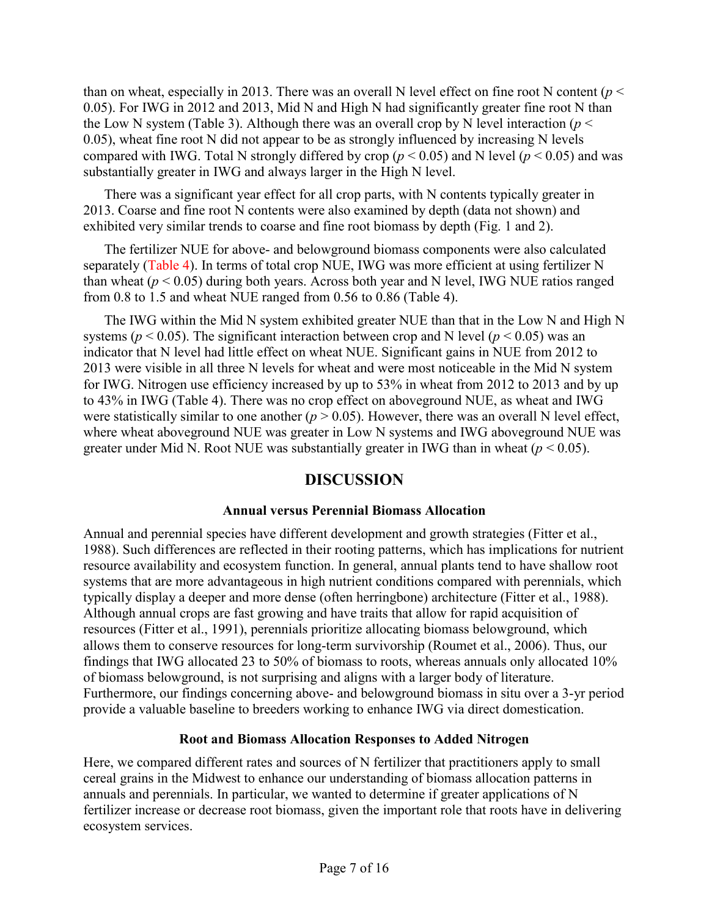than on wheat, especially in 2013. There was an overall N level effect on fine root N content ( $p <$ 0.05). For IWG in 2012 and 2013, Mid N and High N had significantly greater fine root N than the Low N system (Table 3). Although there was an overall crop by N level interaction ( $p <$ 0.05), wheat fine root N did not appear to be as strongly influenced by increasing N levels compared with IWG. Total N strongly differed by crop ( $p < 0.05$ ) and N level ( $p < 0.05$ ) and was substantially greater in IWG and always larger in the High N level.

There was a significant year effect for all crop parts, with N contents typically greater in 2013. Coarse and fine root N contents were also examined by depth (data not shown) and exhibited very similar trends to coarse and fine root biomass by depth (Fig. 1 and 2).

The fertilizer NUE for above- and belowground biomass components were also calculated separately (Table 4). In terms of total crop NUE, IWG was more efficient at using fertilizer N than wheat  $(p < 0.05)$  during both years. Across both year and N level, IWG NUE ratios ranged from 0.8 to 1.5 and wheat NUE ranged from 0.56 to 0.86 (Table 4).

The IWG within the Mid N system exhibited greater NUE than that in the Low N and High N systems ( $p < 0.05$ ). The significant interaction between crop and N level ( $p < 0.05$ ) was an indicator that N level had little effect on wheat NUE. Significant gains in NUE from 2012 to 2013 were visible in all three N levels for wheat and were most noticeable in the Mid N system for IWG. Nitrogen use efficiency increased by up to 53% in wheat from 2012 to 2013 and by up to 43% in IWG (Table 4). There was no crop effect on aboveground NUE, as wheat and IWG were statistically similar to one another  $(p > 0.05)$ . However, there was an overall N level effect, where wheat aboveground NUE was greater in Low N systems and IWG aboveground NUE was greater under Mid N. Root NUE was substantially greater in IWG than in wheat  $(p < 0.05)$ .

# **DISCUSSION**

# **Annual versus Perennial Biomass Allocation**

Annual and perennial species have different development and growth strategies (Fitter et al., 1988). Such differences are reflected in their rooting patterns, which has implications for nutrient resource availability and ecosystem function. In general, annual plants tend to have shallow root systems that are more advantageous in high nutrient conditions compared with perennials, which typically display a deeper and more dense (often herringbone) architecture (Fitter et al., 1988). Although annual crops are fast growing and have traits that allow for rapid acquisition of resources (Fitter et al., 1991), perennials prioritize allocating biomass belowground, which allows them to conserve resources for long-term survivorship (Roumet et al., 2006). Thus, our findings that IWG allocated 23 to 50% of biomass to roots, whereas annuals only allocated 10% of biomass belowground, is not surprising and aligns with a larger body of literature. Furthermore, our findings concerning above- and belowground biomass in situ over a 3-yr period provide a valuable baseline to breeders working to enhance IWG via direct domestication.

# **Root and Biomass Allocation Responses to Added Nitrogen**

Here, we compared different rates and sources of N fertilizer that practitioners apply to small cereal grains in the Midwest to enhance our understanding of biomass allocation patterns in annuals and perennials. In particular, we wanted to determine if greater applications of N fertilizer increase or decrease root biomass, given the important role that roots have in delivering ecosystem services.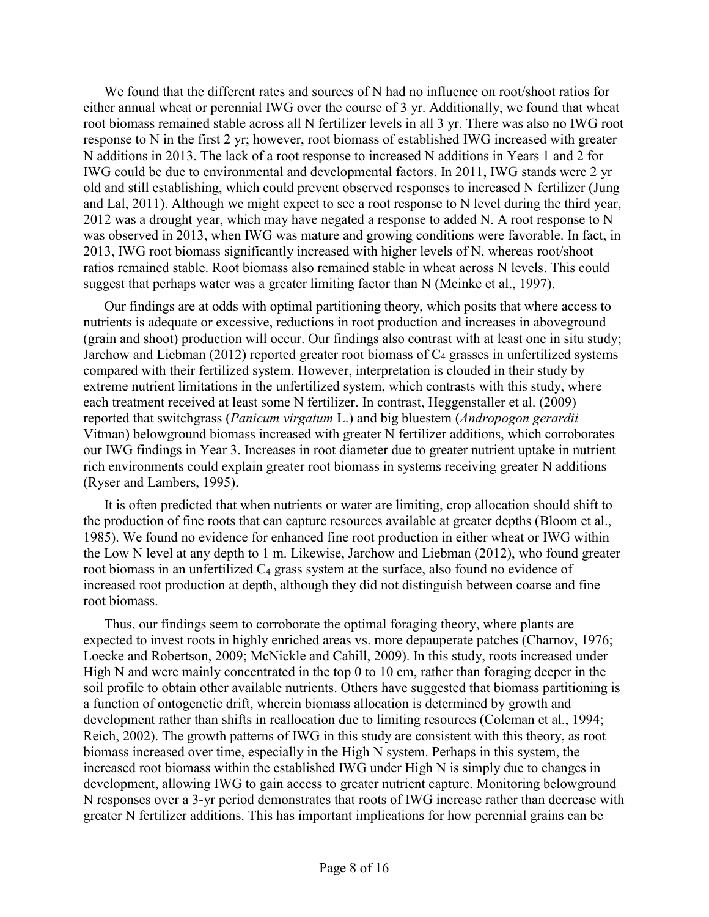We found that the different rates and sources of N had no influence on root/shoot ratios for either annual wheat or perennial IWG over the course of 3 yr. Additionally, we found that wheat root biomass remained stable across all N fertilizer levels in all 3 yr. There was also no IWG root response to N in the first 2 yr; however, root biomass of established IWG increased with greater N additions in 2013. The lack of a root response to increased N additions in Years 1 and 2 for IWG could be due to environmental and developmental factors. In 2011, IWG stands were 2 yr old and still establishing, which could prevent observed responses to increased N fertilizer (Jung and Lal, 2011). Although we might expect to see a root response to N level during the third year, 2012 was a drought year, which may have negated a response to added N. A root response to N was observed in 2013, when IWG was mature and growing conditions were favorable. In fact, in 2013, IWG root biomass significantly increased with higher levels of N, whereas root/shoot ratios remained stable. Root biomass also remained stable in wheat across N levels. This could suggest that perhaps water was a greater limiting factor than N (Meinke et al., 1997).

Our findings are at odds with optimal partitioning theory, which posits that where access to nutrients is adequate or excessive, reductions in root production and increases in aboveground (grain and shoot) production will occur. Our findings also contrast with at least one in situ study; Jarchow and Liebman (2012) reported greater root biomass of  $C_4$  grasses in unfertilized systems compared with their fertilized system. However, interpretation is clouded in their study by extreme nutrient limitations in the unfertilized system, which contrasts with this study, where each treatment received at least some N fertilizer. In contrast, Heggenstaller et al. (2009) reported that switchgrass (*Panicum virgatum* L.) and big bluestem (*Andropogon gerardii* Vitman) belowground biomass increased with greater N fertilizer additions, which corroborates our IWG findings in Year 3. Increases in root diameter due to greater nutrient uptake in nutrient rich environments could explain greater root biomass in systems receiving greater N additions (Ryser and Lambers, 1995).

It is often predicted that when nutrients or water are limiting, crop allocation should shift to the production of fine roots that can capture resources available at greater depths (Bloom et al., 1985). We found no evidence for enhanced fine root production in either wheat or IWG within the Low N level at any depth to 1 m. Likewise, Jarchow and Liebman (2012), who found greater root biomass in an unfertilized  $C_4$  grass system at the surface, also found no evidence of increased root production at depth, although they did not distinguish between coarse and fine root biomass.

Thus, our findings seem to corroborate the optimal foraging theory, where plants are expected to invest roots in highly enriched areas vs. more depauperate patches (Charnov, 1976; Loecke and Robertson, 2009; McNickle and Cahill, 2009). In this study, roots increased under High N and were mainly concentrated in the top 0 to 10 cm, rather than foraging deeper in the soil profile to obtain other available nutrients. Others have suggested that biomass partitioning is a function of ontogenetic drift, wherein biomass allocation is determined by growth and development rather than shifts in reallocation due to limiting resources (Coleman et al., 1994; Reich, 2002). The growth patterns of IWG in this study are consistent with this theory, as root biomass increased over time, especially in the High N system. Perhaps in this system, the increased root biomass within the established IWG under High N is simply due to changes in development, allowing IWG to gain access to greater nutrient capture. Monitoring belowground N responses over a 3-yr period demonstrates that roots of IWG increase rather than decrease with greater N fertilizer additions. This has important implications for how perennial grains can be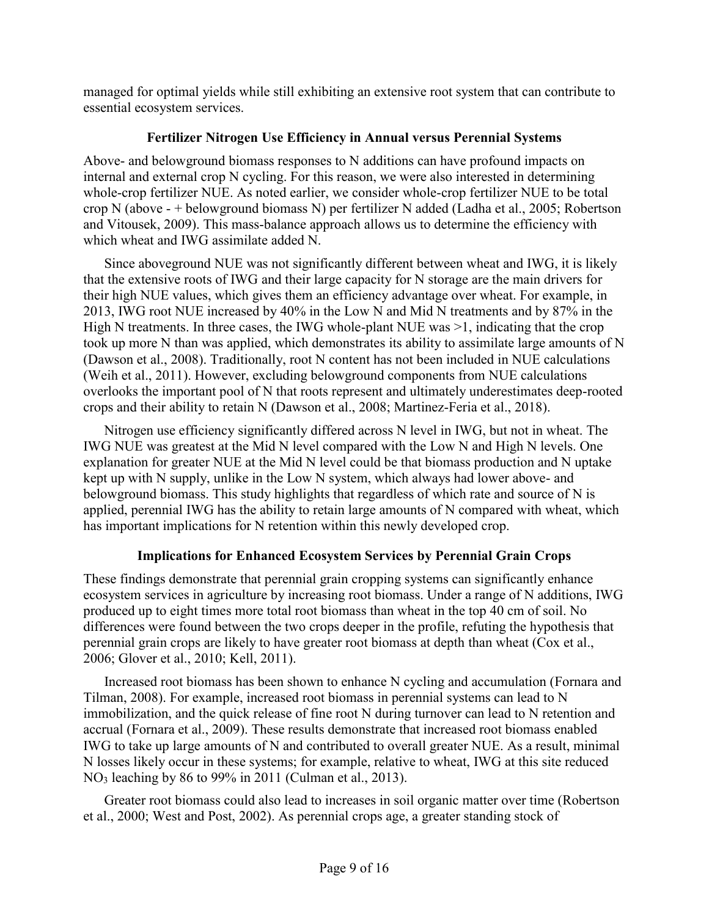managed for optimal yields while still exhibiting an extensive root system that can contribute to essential ecosystem services.

# **Fertilizer Nitrogen Use Efficiency in Annual versus Perennial Systems**

Above- and belowground biomass responses to N additions can have profound impacts on internal and external crop N cycling. For this reason, we were also interested in determining whole-crop fertilizer NUE. As noted earlier, we consider whole-crop fertilizer NUE to be total crop N (above - + belowground biomass N) per fertilizer N added (Ladha et al., 2005; Robertson and Vitousek, 2009). This mass-balance approach allows us to determine the efficiency with which wheat and IWG assimilate added N.

Since aboveground NUE was not significantly different between wheat and IWG, it is likely that the extensive roots of IWG and their large capacity for N storage are the main drivers for their high NUE values, which gives them an efficiency advantage over wheat. For example, in 2013, IWG root NUE increased by 40% in the Low N and Mid N treatments and by 87% in the High N treatments. In three cases, the IWG whole-plant NUE was  $>1$ , indicating that the crop took up more N than was applied, which demonstrates its ability to assimilate large amounts of N (Dawson et al., 2008). Traditionally, root N content has not been included in NUE calculations (Weih et al., 2011). However, excluding belowground components from NUE calculations overlooks the important pool of N that roots represent and ultimately underestimates deep-rooted crops and their ability to retain N (Dawson et al., 2008; Martinez-Feria et al., 2018).

Nitrogen use efficiency significantly differed across N level in IWG, but not in wheat. The IWG NUE was greatest at the Mid N level compared with the Low N and High N levels. One explanation for greater NUE at the Mid N level could be that biomass production and N uptake kept up with N supply, unlike in the Low N system, which always had lower above- and belowground biomass. This study highlights that regardless of which rate and source of N is applied, perennial IWG has the ability to retain large amounts of N compared with wheat, which has important implications for N retention within this newly developed crop.

# **Implications for Enhanced Ecosystem Services by Perennial Grain Crops**

These findings demonstrate that perennial grain cropping systems can significantly enhance ecosystem services in agriculture by increasing root biomass. Under a range of N additions, IWG produced up to eight times more total root biomass than wheat in the top 40 cm of soil. No differences were found between the two crops deeper in the profile, refuting the hypothesis that perennial grain crops are likely to have greater root biomass at depth than wheat (Cox et al., 2006; Glover et al., 2010; Kell, 2011).

Increased root biomass has been shown to enhance N cycling and accumulation (Fornara and Tilman, 2008). For example, increased root biomass in perennial systems can lead to N immobilization, and the quick release of fine root N during turnover can lead to N retention and accrual (Fornara et al., 2009). These results demonstrate that increased root biomass enabled IWG to take up large amounts of N and contributed to overall greater NUE. As a result, minimal N losses likely occur in these systems; for example, relative to wheat, IWG at this site reduced NO<sup>3</sup> leaching by 86 to 99% in 2011 (Culman et al., 2013).

Greater root biomass could also lead to increases in soil organic matter over time (Robertson et al., 2000; West and Post, 2002). As perennial crops age, a greater standing stock of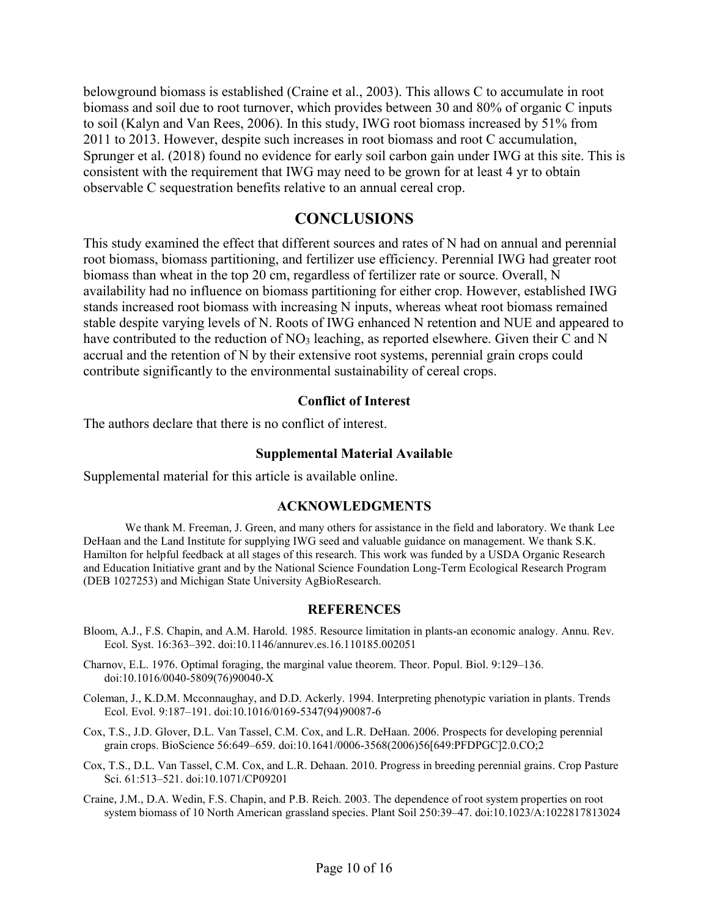belowground biomass is established (Craine et al., 2003). This allows C to accumulate in root biomass and soil due to root turnover, which provides between 30 and 80% of organic C inputs to soil (Kalyn and Van Rees, 2006). In this study, IWG root biomass increased by 51% from 2011 to 2013. However, despite such increases in root biomass and root C accumulation, Sprunger et al. (2018) found no evidence for early soil carbon gain under IWG at this site. This is consistent with the requirement that IWG may need to be grown for at least 4 yr to obtain observable C sequestration benefits relative to an annual cereal crop.

# **CONCLUSIONS**

This study examined the effect that different sources and rates of N had on annual and perennial root biomass, biomass partitioning, and fertilizer use efficiency. Perennial IWG had greater root biomass than wheat in the top 20 cm, regardless of fertilizer rate or source. Overall, N availability had no influence on biomass partitioning for either crop. However, established IWG stands increased root biomass with increasing N inputs, whereas wheat root biomass remained stable despite varying levels of N. Roots of IWG enhanced N retention and NUE and appeared to have contributed to the reduction of  $NO_3$  leaching, as reported elsewhere. Given their C and N accrual and the retention of N by their extensive root systems, perennial grain crops could contribute significantly to the environmental sustainability of cereal crops.

### **Conflict of Interest**

The authors declare that there is no conflict of interest.

### **Supplemental Material Available**

Supplemental material for this article is available online.

#### **ACKNOWLEDGMENTS**

We thank M. Freeman, J. Green, and many others for assistance in the field and laboratory. We thank Lee DeHaan and the Land Institute for supplying IWG seed and valuable guidance on management. We thank S.K. Hamilton for helpful feedback at all stages of this research. This work was funded by a USDA Organic Research and Education Initiative grant and by the National Science Foundation Long-Term Ecological Research Program (DEB 1027253) and Michigan State University AgBioResearch.

#### **REFERENCES**

- Bloom, A.J., F.S. Chapin, and A.M. Harold. 1985. Resource limitation in plants-an economic analogy. Annu. Rev. Ecol. Syst. 16:363–392. [doi:10.1146/annurev.es.16.110185.002051](http://dx.doi.org/10.1146/annurev.es.16.110185.002051)
- Charnov, E.L. 1976. Optimal foraging, the marginal value theorem. Theor. Popul. Biol. 9:129–136. [doi:10.1016/0040-5809\(76\)90040-X](http://dx.doi.org/10.1016/0040-5809(76)90040-X)
- Coleman, J., K.D.M. Mcconnaughay, and D.D. Ackerly. 1994. Interpreting phenotypic variation in plants. Trends Ecol. Evol. 9:187–191. [doi:10.1016/0169-5347\(94\)90087-6](http://dx.doi.org/10.1016/0169-5347(94)90087-6)
- Cox, T.S., J.D. Glover, D.L. Van Tassel, C.M. Cox, and L.R. DeHaan. 2006. Prospects for developing perennial grain crops. BioScience 56:649–659[. doi:10.1641/0006-3568\(2006\)56\[649:PFDPGC\]2.0.CO;2](https://dx.doi.org/10.1641/0006-3568(2006)56%5b649:PFDPGC%5d2.0.CO;2)
- Cox, T.S., D.L. Van Tassel, C.M. Cox, and L.R. Dehaan. 2010. Progress in breeding perennial grains. Crop Pasture Sci. 61:513–521[. doi:10.1071/CP09201](http://dx.doi.org/10.1071/CP09201)
- Craine, J.M., D.A. Wedin, F.S. Chapin, and P.B. Reich. 2003. The dependence of root system properties on root system biomass of 10 North American grassland species. Plant Soil 250:39–47. [doi:10.1023/A:1022817813024](http://dx.doi.org/10.1023/A:1022817813024)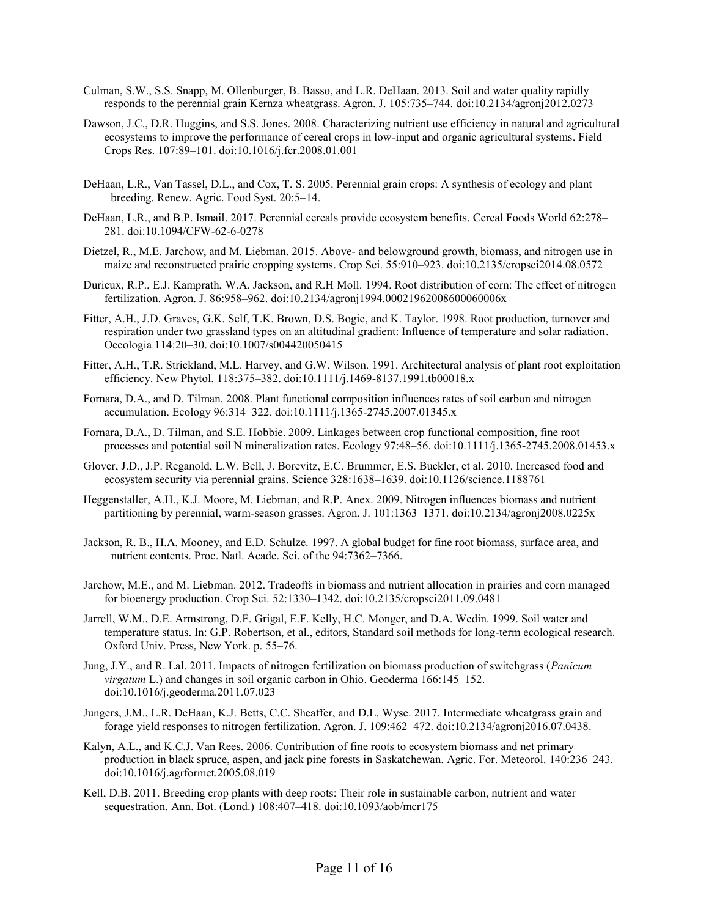- Culman, S.W., S.S. Snapp, M. Ollenburger, B. Basso, and L.R. DeHaan. 2013. Soil and water quality rapidly responds to the perennial grain Kernza wheatgrass. Agron. J. 105:735–744. [doi:10.2134/agronj2012.0273](http://dx.doi.org/10.2134/agronj2012.0273)
- Dawson, J.C., D.R. Huggins, and S.S. Jones. 2008. Characterizing nutrient use efficiency in natural and agricultural ecosystems to improve the performance of cereal crops in low-input and organic agricultural systems. Field Crops Res. 107:89–101. [doi:10.1016/j.fcr.2008.01.001](http://dx.doi.org/10.1016/j.fcr.2008.01.001)
- DeHaan, L.R., Van Tassel, D.L., and Cox, T. S. 2005. Perennial grain crops: A synthesis of ecology and plant breeding. Renew. Agric. Food Syst. 20:5–14.
- DeHaan, L.R., and B.P. Ismail. 2017. Perennial cereals provide ecosystem benefits. Cereal Foods World 62:278– 281. [doi:10.1094/CFW-62-6-0278](http://dx.doi.org/10.1094/CFW-62-6-0278)
- Dietzel, R., M.E. Jarchow, and M. Liebman. 2015. Above- and belowground growth, biomass, and nitrogen use in maize and reconstructed prairie cropping systems. Crop Sci. 55:910–923. [doi:10.2135/cropsci2014.08.0572](http://dx.doi.org/10.2135/cropsci2014.08.0572)
- Durieux, R.P., E.J. Kamprath, W.A. Jackson, and R.H Moll. 1994. Root distribution of corn: The effect of nitrogen fertilization. Agron. J. 86:958–962. [doi:10.2134/agronj1994.00021962008600060006x](http://dx.doi.org/10.2134/agronj1994.00021962008600060006x)
- Fitter, A.H., J.D. Graves, G.K. Self, T.K. Brown, D.S. Bogie, and K. Taylor. 1998. Root production, turnover and respiration under two grassland types on an altitudinal gradient: Influence of temperature and solar radiation. Oecologia 114:20–30[. doi:10.1007/s004420050415](http://dx.doi.org/10.1007/s004420050415)
- Fitter, A.H., T.R. Strickland, M.L. Harvey, and G.W. Wilson. 1991. Architectural analysis of plant root exploitation efficiency. New Phytol. 118:375–382. [doi:10.1111/j.1469-8137.1991.tb00018.x](http://dx.doi.org/10.1111/j.1469-8137.1991.tb00018.x)
- Fornara, D.A., and D. Tilman. 2008. Plant functional composition influences rates of soil carbon and nitrogen accumulation. Ecology 96:314–322[. doi:10.1111/j.1365-2745.2007.01345.x](http://dx.doi.org/10.1111/j.1365-2745.2007.01345.x)
- Fornara, D.A., D. Tilman, and S.E. Hobbie. 2009. Linkages between crop functional composition, fine root processes and potential soil N mineralization rates. Ecology 97:48–56[. doi:10.1111/j.1365-2745.2008.01453.x](http://dx.doi.org/10.1111/j.1365-2745.2008.01453.x)
- Glover, J.D., J.P. Reganold, L.W. Bell, J. Borevitz, E.C. Brummer, E.S. Buckler, et al. 2010. Increased food and ecosystem security via perennial grains. Science 328:1638–1639. [doi:10.1126/science.1188761](https://dx.doi.org/10.1126/science.1188761)
- Heggenstaller, A.H., K.J. Moore, M. Liebman, and R.P. Anex. 2009. Nitrogen influences biomass and nutrient partitioning by perennial, warm-season grasses. Agron. J. 101:1363–1371. [doi:10.2134/agronj2008.0225x](http://dx.doi.org/10.2134/agronj2008.0225x)
- Jackson, R. B., H.A. Mooney, and E.D. Schulze. 1997. A global budget for fine root biomass, surface area, and nutrient contents. Proc. Natl. Acade. Sci. of the 94:7362–7366.
- Jarchow, M.E., and M. Liebman. 2012. Tradeoffs in biomass and nutrient allocation in prairies and corn managed for bioenergy production. Crop Sci. 52:1330–1342. [doi:10.2135/cropsci2011.09.0481](http://dx.doi.org/10.2135/cropsci2011.09.0481)
- Jarrell, W.M., D.E. Armstrong, D.F. Grigal, E.F. Kelly, H.C. Monger, and D.A. Wedin. 1999. Soil water and temperature status. In: G.P. Robertson, et al., editors, Standard soil methods for long-term ecological research. Oxford Univ. Press, New York. p. 55–76.
- Jung, J.Y., and R. Lal. 2011. Impacts of nitrogen fertilization on biomass production of switchgrass (*Panicum virgatum* L.) and changes in soil organic carbon in Ohio. Geoderma 166:145–152. [doi:10.1016/j.geoderma.2011.07.023](http://dx.doi.org/10.1016/j.geoderma.2011.07.023)
- Jungers, J.M., L.R. DeHaan, K.J. Betts, C.C. Sheaffer, and D.L. Wyse. 2017. Intermediate wheatgrass grain and forage yield responses to nitrogen fertilization. Agron. J. 109:462–472. [doi:10.2134/agronj2016.07.0438.](http://dx.doi.org/10.2134/agronj2016.07.0438)
- Kalyn, A.L., and K.C.J. Van Rees. 2006. Contribution of fine roots to ecosystem biomass and net primary production in black spruce, aspen, and jack pine forests in Saskatchewan. Agric. For. Meteorol. 140:236–243. [doi:10.1016/j.agrformet.2005.08.019](http://dx.doi.org/10.1016/j.agrformet.2005.08.019)
- Kell, D.B. 2011. Breeding crop plants with deep roots: Their role in sustainable carbon, nutrient and water sequestration. Ann. Bot. (Lond.) 108:407–418. [doi:10.1093/aob/mcr175](https://dx.doi.org/10.1093/aob/mcr175)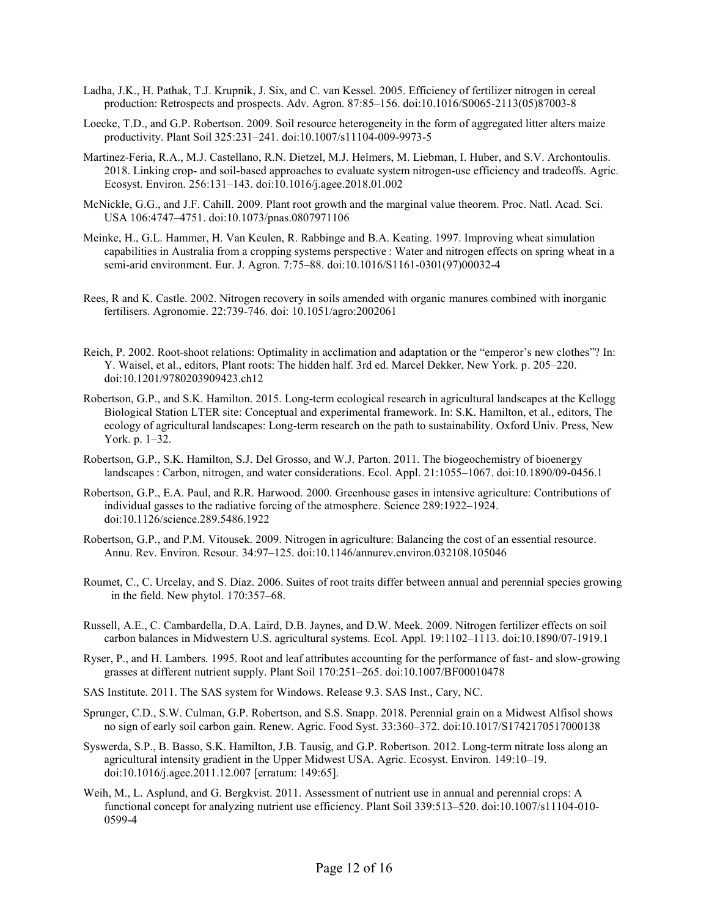- Ladha, J.K., H. Pathak, T.J. Krupnik, J. Six, and C. van Kessel. 2005. Efficiency of fertilizer nitrogen in cereal production: Retrospects and prospects. Adv. Agron. 87:85–156. [doi:10.1016/S0065-2113\(05\)87003-8](http://dx.doi.org/10.1016/S0065-2113(05)87003-8)
- Loecke, T.D., and G.P. Robertson. 2009. Soil resource heterogeneity in the form of aggregated litter alters maize productivity. Plant Soil 325:231–241. [doi:10.1007/s11104-009-9973-5](http://dx.doi.org/10.1007/s11104-009-9973-5)
- Martinez-Feria, R.A., M.J. Castellano, R.N. Dietzel, M.J. Helmers, M. Liebman, I. Huber, and S.V. Archontoulis. 2018. Linking crop- and soil-based approaches to evaluate system nitrogen-use efficiency and tradeoffs. Agric. Ecosyst. Environ. 256:131–143. [doi:10.1016/j.agee.2018.01.002](http://dx.doi.org/10.1016/j.agee.2018.01.002)
- McNickle, G.G., and J.F. Cahill. 2009. Plant root growth and the marginal value theorem. Proc. Natl. Acad. Sci. USA 106:4747–4751. [doi:10.1073/pnas.0807971106](http://dx.doi.org/10.1073/pnas.0807971106)
- Meinke, H., G.L. Hammer, H. Van Keulen, R. Rabbinge and B.A. Keating. 1997. Improving wheat simulation capabilities in Australia from a cropping systems perspective : Water and nitrogen effects on spring wheat in a semi-arid environment. Eur. J. Agron. 7:75–88[. doi:10.1016/S1161-0301\(97\)00032-4](http://dx.doi.org/10.1016/S1161-0301(97)00032-4)
- Rees, R and K. Castle. 2002. Nitrogen recovery in soils amended with organic manures combined with inorganic fertilisers. Agronomie. 22:739-746. doi: 10.1051/agro:2002061
- Reich, P. 2002. Root-shoot relations: Optimality in acclimation and adaptation or the "emperor's new clothes"? In: Y. Waisel, et al., editors, Plant roots: The hidden half. 3rd ed. Marcel Dekker, New York. p. 205–220. [doi:10.1201/9780203909423.ch12](http://dx.doi.org/10.1201/9780203909423.ch12)
- Robertson, G.P., and S.K. Hamilton. 2015. Long-term ecological research in agricultural landscapes at the Kellogg Biological Station LTER site: Conceptual and experimental framework. In: S.K. Hamilton, et al., editors, The ecology of agricultural landscapes: Long-term research on the path to sustainability. Oxford Univ. Press, New York. p. 1–32.
- Robertson, G.P., S.K. Hamilton, S.J. Del Grosso, and W.J. Parton. 2011. The biogeochemistry of bioenergy landscapes : Carbon, nitrogen, and water considerations. Ecol. Appl. 21:1055–1067. [doi:10.1890/09-0456.1](http://dx.doi.org/10.1890/09-0456.1)
- Robertson, G.P., E.A. Paul, and R.R. Harwood. 2000. Greenhouse gases in intensive agriculture: Contributions of individual gasses to the radiative forcing of the atmosphere. Science 289:1922–1924. [doi:10.1126/science.289.5486.1922](http://dx.doi.org/10.1126/science.289.5486.1922)
- Robertson, G.P., and P.M. Vitousek. 2009. Nitrogen in agriculture: Balancing the cost of an essential resource. Annu. Rev. Environ. Resour. 34:97–125[. doi:10.1146/annurev.environ.032108.105046](http://dx.doi.org/10.1146/annurev.environ.032108.105046)
- Roumet, C., C. Urcelay, and S. Díaz. 2006. Suites of root traits differ between annual and perennial species growing in the field. New phytol. 170:357–68.
- Russell, A.E., C. Cambardella, D.A. Laird, D.B. Jaynes, and D.W. Meek. 2009. Nitrogen fertilizer effects on soil carbon balances in Midwestern U.S. agricultural systems. Ecol. Appl. 19:1102–1113. [doi:10.1890/07-1919.1](http://dx.doi.org/10.1890/07-1919.1)
- Ryser, P., and H. Lambers. 1995. Root and leaf attributes accounting for the performance of fast- and slow-growing grasses at different nutrient supply. Plant Soil 170:251–265[. doi:10.1007/BF00010478](http://dx.doi.org/10.1007/BF00010478)
- SAS Institute. 2011. The SAS system for Windows. Release 9.3. SAS Inst., Cary, NC.
- Sprunger, C.D., S.W. Culman, G.P. Robertson, and S.S. Snapp. 2018. Perennial grain on a Midwest Alfisol shows no sign of early soil carbon gain. Renew. Agric. Food Syst. 33:360–372[. doi:10.1017/S1742170517000138](http://dx.doi.org/10.1017/S1742170517000138)
- Syswerda, S.P., B. Basso, S.K. Hamilton, J.B. Tausig, and G.P. Robertson. 2012. Long-term nitrate loss along an agricultural intensity gradient in the Upper Midwest USA. Agric. Ecosyst. Environ. 149:10–19. [doi:10.1016/j.agee.2011.12.007](http://dx.doi.org/10.1016/j.agee.2011.12.007) [erratum: 149:65].
- Weih, M., L. Asplund, and G. Bergkvist. 2011. Assessment of nutrient use in annual and perennial crops: A functional concept for analyzing nutrient use efficiency. Plant Soil 339:513–520. [doi:10.1007/s11104-010-](https://dx.doi.org/10.1007/s11104-010-0599-4) [0599-4](https://dx.doi.org/10.1007/s11104-010-0599-4)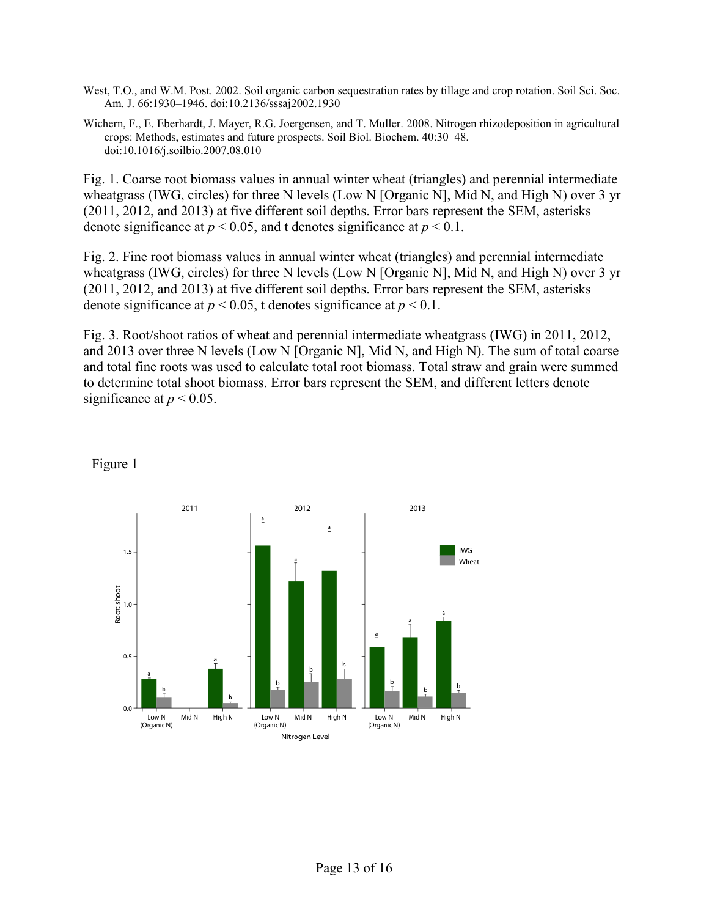West, T.O., and W.M. Post. 2002. Soil organic carbon sequestration rates by tillage and crop rotation. Soil Sci. Soc. Am. J. 66:1930–1946[. doi:10.2136/sssaj2002.1930](http://dx.doi.org/10.2136/sssaj2002.1930)

Wichern, F., E. Eberhardt, J. Mayer, R.G. Joergensen, and T. Muller. 2008. Nitrogen rhizodeposition in agricultural crops: Methods, estimates and future prospects. Soil Biol. Biochem. 40:30–48. [doi:10.1016/j.soilbio.2007.08.010](http://dx.doi.org/10.1016/j.soilbio.2007.08.010)

Fig. 1. Coarse root biomass values in annual winter wheat (triangles) and perennial intermediate wheatgrass (IWG, circles) for three N levels (Low N [Organic N], Mid N, and High N) over 3 yr (2011, 2012, and 2013) at five different soil depths. Error bars represent the SEM, asterisks denote significance at  $p < 0.05$ , and t denotes significance at  $p < 0.1$ .

Fig. 2. Fine root biomass values in annual winter wheat (triangles) and perennial intermediate wheatgrass (IWG, circles) for three N levels (Low N [Organic N], Mid N, and High N) over 3 yr (2011, 2012, and 2013) at five different soil depths. Error bars represent the SEM, asterisks denote significance at  $p < 0.05$ , t denotes significance at  $p < 0.1$ .

Fig. 3. Root/shoot ratios of wheat and perennial intermediate wheatgrass (IWG) in 2011, 2012, and 2013 over three N levels (Low N [Organic N], Mid N, and High N). The sum of total coarse and total fine roots was used to calculate total root biomass. Total straw and grain were summed to determine total shoot biomass. Error bars represent the SEM, and different letters denote significance at  $p < 0.05$ .



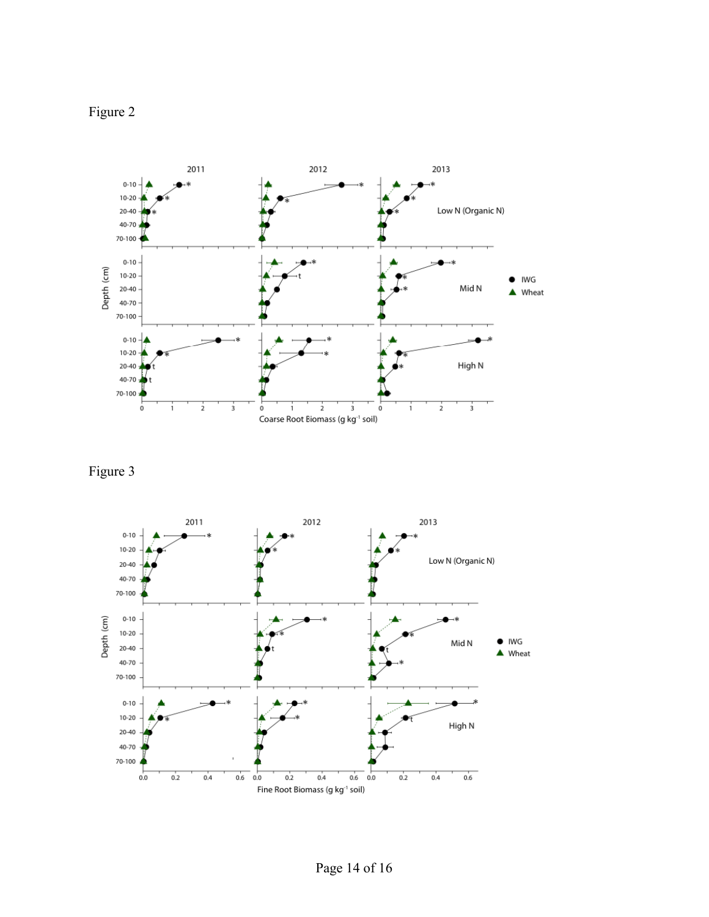



Figure 3

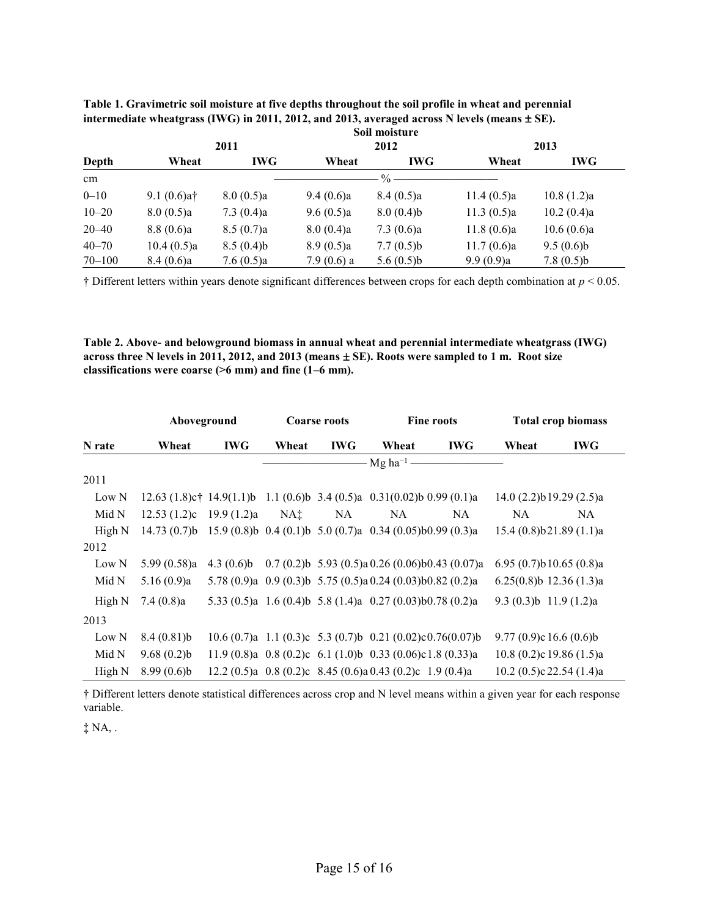| Depth      |                     | 2011       |              | 2012          |            | 2013       |  |
|------------|---------------------|------------|--------------|---------------|------------|------------|--|
|            | Wheat               | <b>IWG</b> | Wheat        | <b>IWG</b>    | Wheat      | <b>IWG</b> |  |
| cm         |                     |            |              | $\frac{0}{0}$ |            |            |  |
| $0 - 10$   | 9.1 $(0.6)a\dagger$ | 8.0(0.5)a  | 9.4(0.6)a    | 8.4(0.5)a     | 11.4(0.5)a | 10.8(1.2)a |  |
| $10 - 20$  | 8.0(0.5)a           | 7.3(0.4)a  | 9.6(0.5)a    | 8.0(0.4)b     | 11.3(0.5)a | 10.2(0.4)a |  |
| $20 - 40$  | 8.8(0.6)a           | 8.5(0.7)a  | 8.0(0.4)a    | 7.3(0.6)a     | 11.8(0.6)a | 10.6(0.6)a |  |
| $40 - 70$  | 10.4(0.5)a          | 8.5(0.4)b  | 8.9(0.5)a    | 7.7(0.5)b     | 11.7(0.6)a | 9.5(0.6)b  |  |
| $70 - 100$ | 8.4(0.6)a           | 7.6(0.5)a  | $7.9(0.6)$ a | 5.6 $(0.5)b$  | 9.9(0.9)a  | 7.8(0.5)b  |  |

**Soil moisture**

| Table 1. Gravimetric soil moisture at five depths throughout the soil profile in wheat and perennial |
|------------------------------------------------------------------------------------------------------|
| intermediate wheatgrass (IWG) in 2011, 2012, and 2013, averaged across N levels (means $\pm$ SE).    |

† Different letters within years denote significant differences between crops for each depth combination at *p* < 0.05.

**Table 2. Above- and belowground biomass in annual wheat and perennial intermediate wheatgrass (IWG) across three N levels in 2011, 2012, and 2013 (means SE). Roots were sampled to 1 m. Root size classifications were coarse (>6 mm) and fine (1–6 mm).**

|        | Aboveground |            | <b>Coarse roots</b> |            | <b>Fine roots</b>                                                                      |            | <b>Total crop biomass</b>      |            |
|--------|-------------|------------|---------------------|------------|----------------------------------------------------------------------------------------|------------|--------------------------------|------------|
| N rate | Wheat       | <b>IWG</b> | Wheat               | <b>IWG</b> | Wheat                                                                                  | <b>IWG</b> | Wheat                          | <b>IWG</b> |
|        |             |            |                     |            | $-Mg$ ha <sup>-1</sup> ——                                                              |            |                                |            |
| 2011   |             |            |                     |            |                                                                                        |            |                                |            |
| Low N  |             |            |                     |            | 12.63 $(1.8)c_1$ <sup>+</sup> 14.9(1.1)b 1.1 (0.6)b 3.4 (0.5)a 0.31(0.02)b 0.99 (0.1)a |            | 14.0 (2.2) b 19.29 (2.5) a     |            |
| Mid N  | 12.53(1.2)c | 19.9(1.2)a | NA‡                 | NA         | NA                                                                                     | NA         | NA                             | NA.        |
| High N |             |            |                     |            | 14.73 (0.7)b 15.9 (0.8)b 0.4 (0.1)b 5.0 (0.7)a 0.34 (0.05)b0.99 (0.3)a                 |            | 15.4(0.8)b21.89(1.1)a          |            |
| 2012   |             |            |                     |            |                                                                                        |            |                                |            |
| Low N  | 5.99(0.58)a |            |                     |            | 4.3 (0.6)b $0.7$ (0.2)b 5.93 (0.5)a 0.26 (0.06)b0.43 (0.07)a                           |            | 6.95 $(0.7)$ b 10.65 $(0.8)$ a |            |
| Mid N  | 5.16(0.9)a  |            |                     |            | 5.78 (0.9)a $0.9$ (0.3)b 5.75 (0.5)a 0.24 (0.03)b0.82 (0.2)a                           |            | $6.25(0.8)$ b 12.36 $(1.3)$ a  |            |
| High N | 7.4(0.8)a   |            |                     |            | 5.33 (0.5)a 1.6 (0.4)b 5.8 (1.4)a 0.27 (0.03)b0.78 (0.2)a                              |            | 9.3 $(0.3)$ b 11.9 $(1.2)$ a   |            |
| 2013   |             |            |                     |            |                                                                                        |            |                                |            |
| Low N  | 8.4(0.81)b  |            |                     |            | 10.6 (0.7)a 1.1 (0.3)c 5.3 (0.7)b 0.21 (0.02)c0.76(0.07)b                              |            | 9.77 $(0.9)c 16.6 (0.6)b$      |            |
| Mid N  | 9.68(0.2)b  |            |                     |            | 11.9 (0.8) a 0.8 (0.2) c 6.1 (1.0) b 0.33 (0.06) c 1.8 (0.33) a                        |            | 10.8 $(0.2)c$ 19.86 $(1.5)a$   |            |
| High N | 8.99(0.6)b  |            |                     |            | 12.2 (0.5)a 0.8 (0.2)c 8.45 (0.6)a 0.43 (0.2)c 1.9 (0.4)a                              |            | 10.2 (0.5) $c$ 22.54 (1.4)a    |            |

† Different letters denote statistical differences across crop and N level means within a given year for each response variable.

‡ NA, .